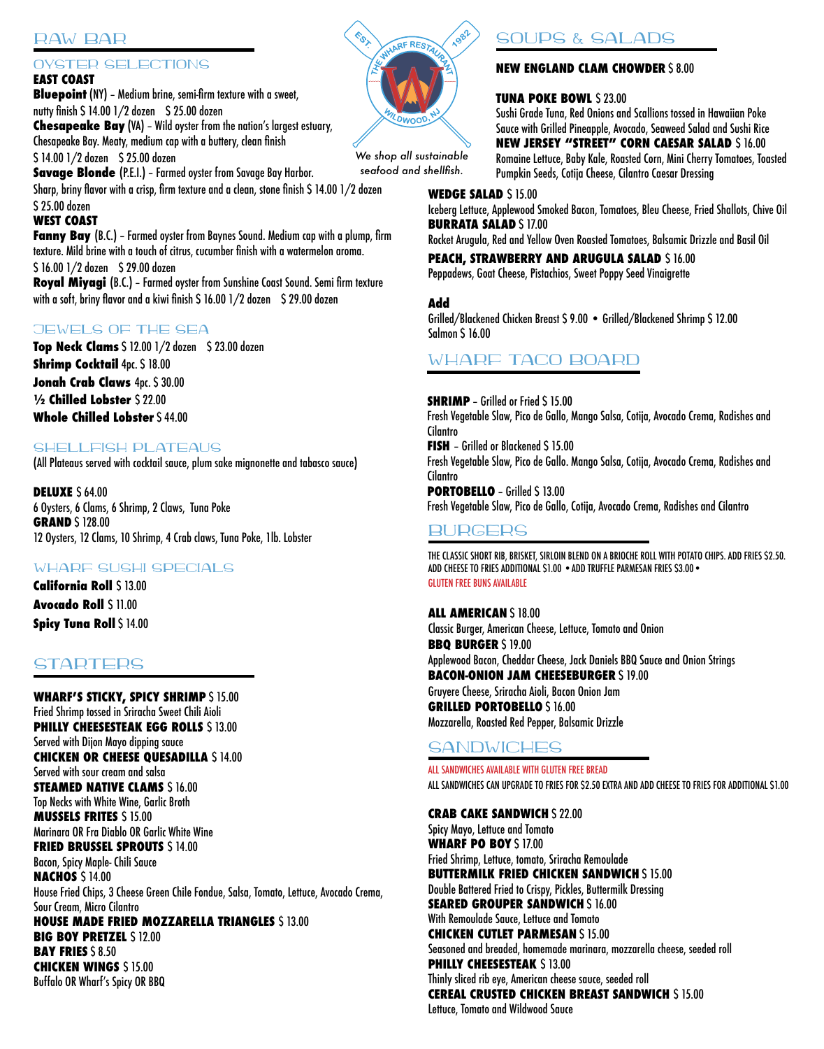# RAW BAR

## OYSTER SELECTIONS

### **EAST COAST**

**Bluepoint** (NY) – Medium brine, semi-firm texture with a sweet, nutty finish \$ 14.00 1/2 dozen \$ 25.00 dozen **Chesapeake Bay** (VA) – Wild oyster from the nation's largest estuary, Chesapeake Bay. Meaty, medium cap with a buttery, clean finish \$14.00 1/2 dozen \$25.00 dozen **Savage Blonde** (P.E.I.) – Farmed oyster from Savage Bay Harbor. Sharp, briny flavor with a crisp, firm texture and a clean, stone finish \$ 14.00 1/2 dozen \$ 25.00 dozen **WEST COAST Fanny Bay** (B.C.) - Farmed oyster from Baynes Sound. Medium cap with a plump, firm texture. Mild brine with a touch of citrus, cucumber finish with a watermelon aroma.

\$ 16.00 1/2 dozen \$ 29.00 dozen **Royal Miyagi** (B.C.) – Farmed oyster from Sunshine Coast Sound. Semi firm texture with a soft, briny flavor and a kiwi finish \$ 16.00 1/2 dozen \$ 29.00 dozen

## JEWELS OF THE SEA

**Top Neck Clams** \$ 12.00 1/2 dozen \$ 23.00 dozen **Shrimp Cocktail** 4pc. \$18.00 **Jonah Crab Claws** 4pc. \$ 30.00 **½ Chilled Lobster** \$ 22.00 **Whole Chilled Lobster** \$ 44.00

## SHELLFISH PLATEAUS

(All Plateaus served with cocktail sauce, plum sake mignonette and tabasco sauce)

**DELUXE** \$ 64.00 6 Oysters, 6 Clams, 6 Shrimp, 2 Claws, Tuna Poke **GRAND** \$ 128.00 12 Oysters, 12 Clams, 10 Shrimp, 4 Crab claws, Tuna Poke, 1lb. Lobster

## WHARF SUSHI SPECIALS

**California Roll** \$ 13.00 **Avocado Roll** \$ 11.00 **Spicy Tuna Roll** \$ 14.00

# **STARTERS**

**WHARF'S STICKY, SPICY SHRIMP** \$ 15.00 Fried Shrimp tossed in Sriracha Sweet Chili Aioli **PHILLY CHEESESTEAK EGG ROLLS \$13.00** Served with Dijon Mayo dipping sauce **CHICKEN OR CHEESE QUESADILLA** \$ 14.00 Served with sour cream and salsa **STEAMED NATIVE CLAMS \$ 16.00** Top Necks with White Wine, Garlic Broth **MUSSELS FRITES** \$ 15.00 Marinara OR Fra Diablo OR Garlic White Wine **FRIED BRUSSEL SPROUTS \$ 14.00** Bacon, Spicy Maple- Chili Sauce **NACHOS** \$ 14.00 House Fried Chips, 3 Cheese Green Chile Fondue, Salsa, Tomato, Lettuce, Avocado Crema, Sour Cream, Micro Cilantro **HOUSE MADE FRIED MOZZARELLA TRIANGLES** \$ 13.00 **BIG BOY PRETZEL \$ 12.00 BAY FRIES** \$8.50 **CHICKEN WINGS** \$ 15.00 Buffalo OR Wharf's Spicy OR BBQ



#### *We shop all sustainable seafood and shellfish.*

# SOUPS & SALADS

### **NEW ENGLAND CLAM CHOWDER** \$8.00

### **TUNA POKE BOWL \$23.00**

Sushi Grade Tuna, Red Onions and Scallions tossed in Hawaiian Poke Sauce with Grilled Pineapple, Avocado, Seaweed Salad and Sushi Rice **NEW JERSEY "STREET" CORN CAESAR SALAD** \$ 16.00 Romaine Lettuce, Baby Kale, Roasted Corn, Mini Cherry Tomatoes, Toasted Pumpkin Seeds, Cotija Cheese, Cilantro Caesar Dressing

#### **WEDGE SALAD** \$ 15.00

Iceberg Lettuce, Applewood Smoked Bacon, Tomatoes, Bleu Cheese, Fried Shallots, Chive Oil **BURRATA SALAD** \$ 17.00

Rocket Arugula, Red and Yellow Oven Roasted Tomatoes, Balsamic Drizzle and Basil Oil

**PEACH, STRAWBERRY AND ARUGULA SALAD** \$ 16.00

Peppadews, Goat Cheese, Pistachios, Sweet Poppy Seed Vinaigrette

### **Add**

Grilled/Blackened Chicken Breast \$ 9.00 • Grilled/Blackened Shrimp \$ 12.00 Salmon \$ 16.00

# WHARF TACO BOARD

**SHRIMP** – Grilled or Fried \$ 15.00 Fresh Vegetable Slaw, Pico de Gallo, Mango Salsa, Cotija, Avocado Crema, Radishes and Cilantro **FISH** - Grilled or Blackened \$ 15.00 Fresh Vegetable Slaw, Pico de Gallo. Mango Salsa, Cotija, Avocado Crema, Radishes and Cilantro **PORTOBELLO** - Grilled \$ 13.00 Fresh Vegetable Slaw, Pico de Gallo, Cotija, Avocado Crema, Radishes and Cilantro

### BURGERS

THE CLASSIC SHORT RIB, BRISKET, SIRLOIN BLEND ON A BRIOCHE ROLL WITH POTATO CHIPS. ADD FRIES \$2.50. ADD CHEESE TO FRIES ADDITIONAL \$1.00 . ADD TRUFFLE PARMESAN FRIES \$3.00 . GLUTEN FREE BUNS AVAILABLE

#### **ALL AMERICAN** \$ 18.00

Classic Burger, American Cheese, Lettuce, Tomato and Onion **BBQ BURGER** \$ 19.00 Applewood Bacon, Cheddar Cheese, Jack Daniels BBQ Sauce and Onion Strings **BACON-ONION JAM CHEESEBURGER** \$ 19.00 Gruyere Cheese, Sriracha Aioli, Bacon Onion Jam **GRILLED PORTOBELLO** \$ 16.00 Mozzarella, Roasted Red Pepper, Balsamic Drizzle

### **SANDWICHES**

ALL SANDWICHES AVAILABLE WITH GLUTEN FREE BREAD ALL SANDWICHES CAN UPGRADE TO FRIES FOR \$2.50 EXTRA AND ADD CHEESE TO FRIES FOR ADDITIONAL \$1.00

**CRAB CAKE SANDWICH** \$ 22.00 Spicy Mayo, Lettuce and Tomato **WHARF PO BOY** \$ 17.00 Fried Shrimp, Lettuce, tomato, Sriracha Remoulade **BUTTERMILK FRIED CHICKEN SANDWICH** \$ 15.00 Double Battered Fried to Crispy, Pickles, Buttermilk Dressing **SEARED GROUPER SANDWICH \$ 16.00** With Remoulade Sauce, Lettuce and Tomato **CHICKEN CUTLET PARMESAN \$ 15.00** Seasoned and breaded, homemade marinara, mozzarella cheese, seeded roll **PHILLY CHEESESTEAK \$13.00** Thinly sliced rib eye, American cheese sauce, seeded roll **CEREAL CRUSTED CHICKEN BREAST SANDWICH** \$ 15.00 Lettuce, Tomato and Wildwood Sauce